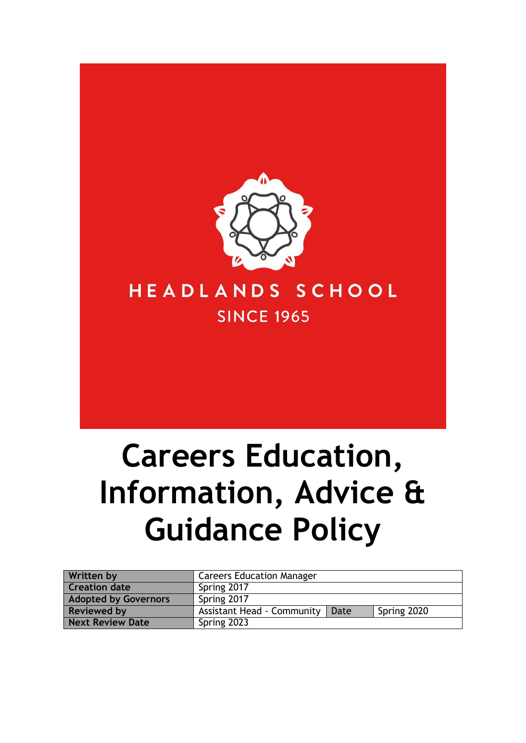

# **Careers Education, Information, Advice & Guidance Policy**

| <b>Written by</b>           | <b>Careers Education Manager</b>                         |
|-----------------------------|----------------------------------------------------------|
| <b>Creation date</b>        | Spring 2017                                              |
| <b>Adopted by Governors</b> | Spring 2017                                              |
| <b>Reviewed by</b>          | <b>Assistant Head - Community</b><br>Spring 2020<br>Date |
| <b>Next Review Date</b>     | Spring 2023                                              |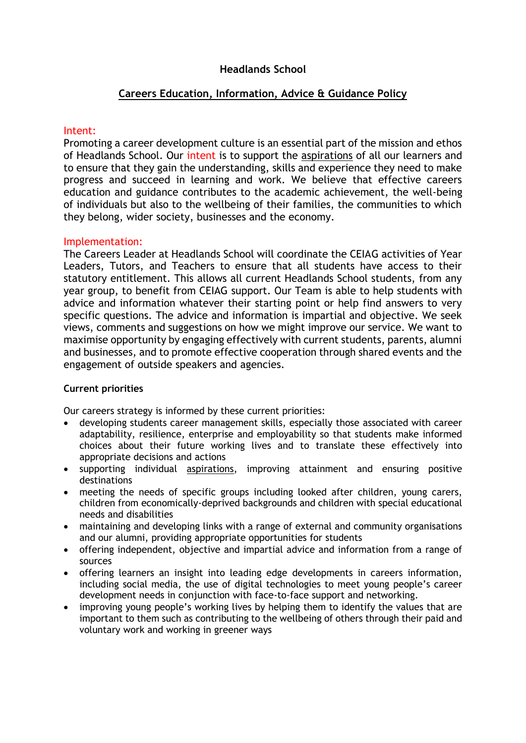## **Headlands School**

### **Careers Education, Information, Advice & Guidance Policy**

#### Intent:

Promoting a career development culture is an essential part of the mission and ethos of Headlands School. Our intent is to support the aspirations of all our learners and to ensure that they gain the understanding, skills and experience they need to make progress and succeed in learning and work. We believe that effective careers education and guidance contributes to the academic achievement, the well-being of individuals but also to the wellbeing of their families, the communities to which they belong, wider society, businesses and the economy.

#### Implementation:

The Careers Leader at Headlands School will coordinate the CEIAG activities of Year Leaders, Tutors, and Teachers to ensure that all students have access to their statutory entitlement. This allows all current Headlands School students, from any year group, to benefit from CEIAG support. Our Team is able to help students with advice and information whatever their starting point or help find answers to very specific questions. The advice and information is impartial and objective. We seek views, comments and suggestions on how we might improve our service. We want to maximise opportunity by engaging effectively with current students, parents, alumni and businesses, and to promote effective cooperation through shared events and the engagement of outside speakers and agencies.

#### **Current priorities**

Our careers strategy is informed by these current priorities:

- developing students career management skills, especially those associated with career adaptability, resilience, enterprise and employability so that students make informed choices about their future working lives and to translate these effectively into appropriate decisions and actions
- supporting individual aspirations, improving attainment and ensuring positive destinations
- meeting the needs of specific groups including looked after children, young carers, children from economically-deprived backgrounds and children with special educational needs and disabilities
- maintaining and developing links with a range of external and community organisations and our alumni, providing appropriate opportunities for students
- offering independent, objective and impartial advice and information from a range of sources
- offering learners an insight into leading edge developments in careers information, including social media, the use of digital technologies to meet young people's career development needs in conjunction with face-to-face support and networking.
- improving young people's working lives by helping them to identify the values that are important to them such as contributing to the wellbeing of others through their paid and voluntary work and working in greener ways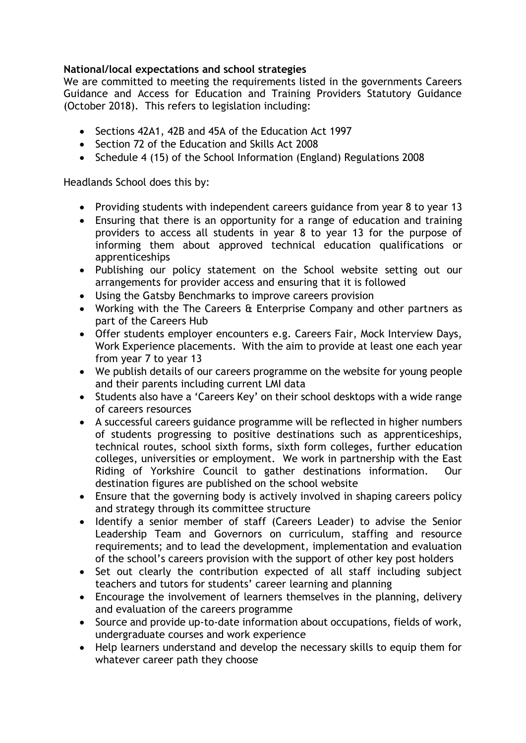# **National/local expectations and school strategies**

We are committed to meeting the requirements listed in the governments Careers Guidance and Access for Education and Training Providers Statutory Guidance (October 2018). This refers to legislation including:

- Sections 42A1, 42B and 45A of the Education Act 1997
- Section 72 of the Education and Skills Act 2008
- Schedule 4 (15) of the School Information (England) Regulations 2008

Headlands School does this by:

- Providing students with independent careers guidance from year 8 to year 13
- Ensuring that there is an opportunity for a range of education and training providers to access all students in year 8 to year 13 for the purpose of informing them about approved technical education qualifications or apprenticeships
- Publishing our policy statement on the School website setting out our arrangements for provider access and ensuring that it is followed
- Using the Gatsby Benchmarks to improve careers provision
- Working with the The Careers & Enterprise Company and other partners as part of the Careers Hub
- Offer students employer encounters e.g. Careers Fair, Mock Interview Days, Work Experience placements. With the aim to provide at least one each year from year 7 to year 13
- We publish details of our careers programme on the website for young people and their parents including current LMI data
- Students also have a 'Careers Key' on their school desktops with a wide range of careers resources
- A successful careers guidance programme will be reflected in higher numbers of students progressing to positive destinations such as apprenticeships, technical routes, school sixth forms, sixth form colleges, further education colleges, universities or employment. We work in partnership with the East Riding of Yorkshire Council to gather destinations information. Our destination figures are published on the school website
- Ensure that the governing body is actively involved in shaping careers policy and strategy through its committee structure
- Identify a senior member of staff (Careers Leader) to advise the Senior Leadership Team and Governors on curriculum, staffing and resource requirements; and to lead the development, implementation and evaluation of the school's careers provision with the support of other key post holders
- Set out clearly the contribution expected of all staff including subject teachers and tutors for students' career learning and planning
- Encourage the involvement of learners themselves in the planning, delivery and evaluation of the careers programme
- Source and provide up-to-date information about occupations, fields of work, undergraduate courses and work experience
- Help learners understand and develop the necessary skills to equip them for whatever career path they choose